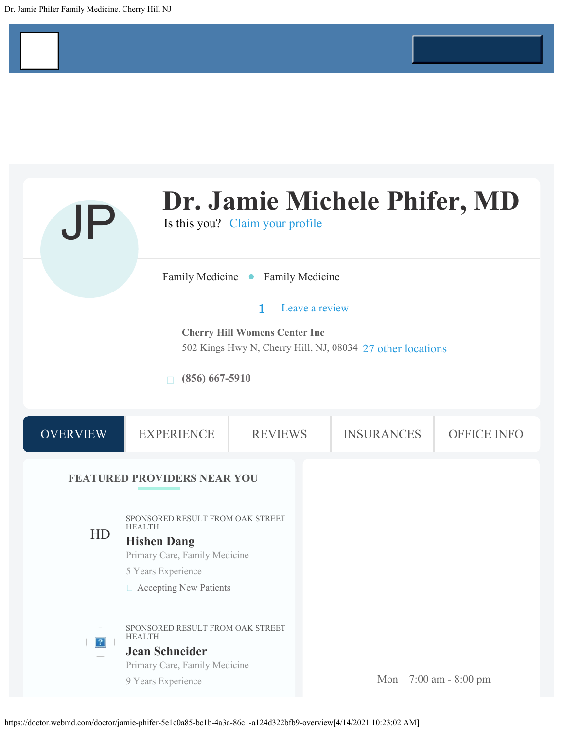<span id="page-0-0"></span>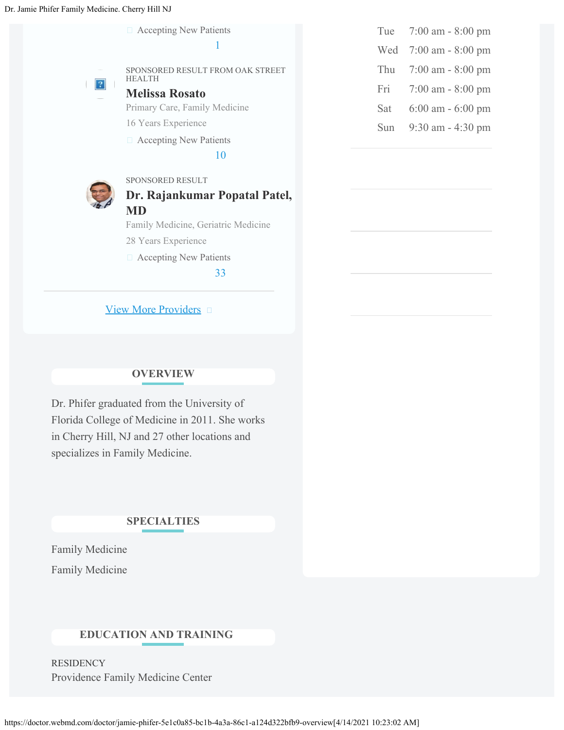Accepting New Patients





SPONSORED RESULT FROM OAK STREET HEALTH

**[Melissa Rosato](https://doctor.webmd.com/doctor/melissa-rosato-19dd583d-28b2-44ae-bf18-ea92bd3f8233-overview)**

Primary Care, Family Medicine

16 Years Experience

Accepting New Patients

10



## SPONSORED RESULT **[Dr. Rajankumar Popatal Patel,](https://doctor.webmd.com/doctor/rajankumar-patel-d57a0bcd-e768-4c19-86a8-6718af61ab31-overview) [MD](https://doctor.webmd.com/doctor/rajankumar-patel-d57a0bcd-e768-4c19-86a8-6718af61ab31-overview)**

Family Medicine, Geriatric Medicine

- 28 Years Experience
- Accepting New Patients

33

[View More Providers](https://doctor.webmd.com/results?zc=08034&sids=29259,43942&state=NJ&city=Cherry%20Hill&pt=39.920995,-75.001863)  $\Box$ 

## **OVERVIEW**

Dr. Phifer graduated from the University of Florida College of Medicine in 2011. She works in Cherry Hill, NJ and 27 other locations and specializes in Family Medicine.

#### **SPECIALTIES**

[Family Medicine](https://doctor.webmd.com/find-a-doctor/specialty/family-medicine/new-jersey/cherry-hill) [Family Medicine](https://doctor.webmd.com/find-a-doctor/specialty/family-medicine/new-jersey/cherry-hill)

### **EDUCATION AND TRAINING**

**RESIDENCY** Providence Family Medicine Center

| Tue | $7:00$ am - $8:00$ pm |
|-----|-----------------------|
| Wed | 7:00 am - 8:00 pm     |
| Thu | $7:00$ am - $8:00$ pm |
| Fri | $7:00$ am - $8:00$ pm |
| Sat | $6:00$ am $-6:00$ pm  |
| Sun | 9:30 am - 4:30 pm     |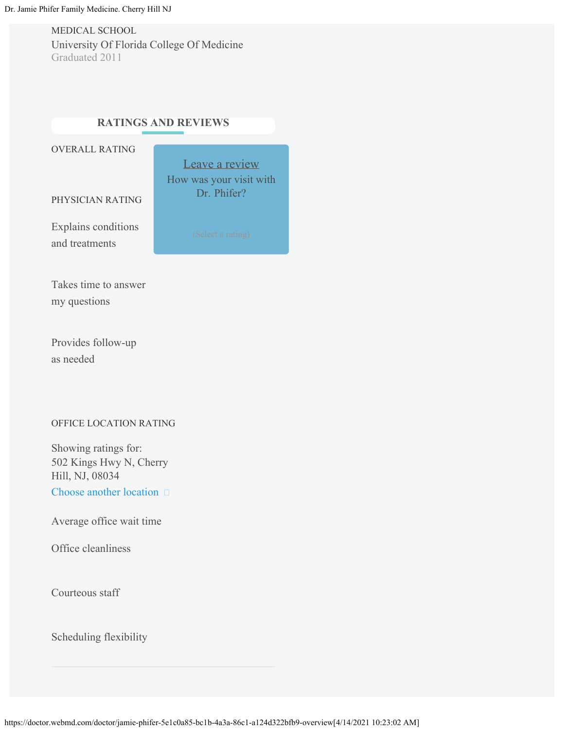MEDICAL SCHOOL University Of Florida College Of Medicine Graduated 2011

## **RATINGS AND REVIEWS**

OVERALL RATING

Leave a review How was your visit with Dr. Phifer?

PHYSICIAN RATING

Explains conditions and treatments

Takes time to answer my questions

Provides follow-up as needed

#### OFFICE LOCATION RATING

502 Kings Hwy N, Cherry Hill, NJ, 08034 Showing ratings for: Choose another location  $\square$ 

Average office wait time

Office cleanliness

Courteous staff

Scheduling flexibility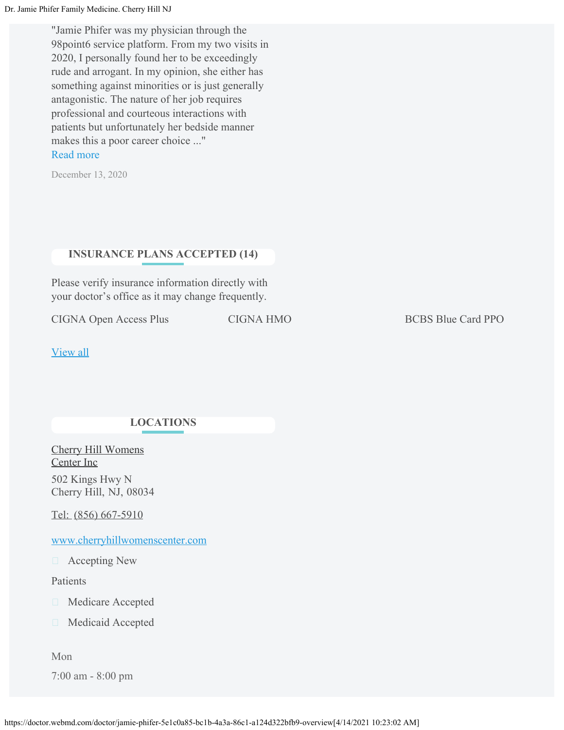Dr. Jamie Phifer Family Medicine. Cherry Hill NJ

"Jamie Phifer was my physician through the 98point6 service platform. From my two visits in 2020, I personally found her to be exceedingly rude and arrogant. In my opinion, she either has something against minorities or is just generally antagonistic. The nature of her job requires professional and courteous interactions with patients but unfortunately her bedside manner makes this a poor career choice ..." Read more

December 13, 2020

### **INSURANCE PLANS ACCEPTED (14)**

Please verify insurance information directly with your doctor's office as it may change frequently.

CIGNA Open Access Plus CIGNA HMO BCBS Blue Card PPO

[View all](https://doctor.webmd.com/doctor/jamie-phifer-5e1c0a85-bc1b-4a3a-86c1-a124d322bfb9-insurance)

### **LOCATIONS**

[Cherry Hill Womens](https://doctor.webmd.com/practice/cherry-hill-womens-center-inc-c52fcdf9-113c-4ae6-a1bf-cbfda14b3e1b-overview) [Center Inc](https://doctor.webmd.com/practice/cherry-hill-womens-center-inc-c52fcdf9-113c-4ae6-a1bf-cbfda14b3e1b-overview) 502 Kings Hwy N Cherry Hill, NJ, 08034

Tel: [\(856\) 667-5910](tel:+18566675910)

www.cherryhillwomenscenter.com

Accepting New

Patients

□ Medicare Accepted

**Medicaid Accepted** 

Mon

7:00 am - 8:00 pm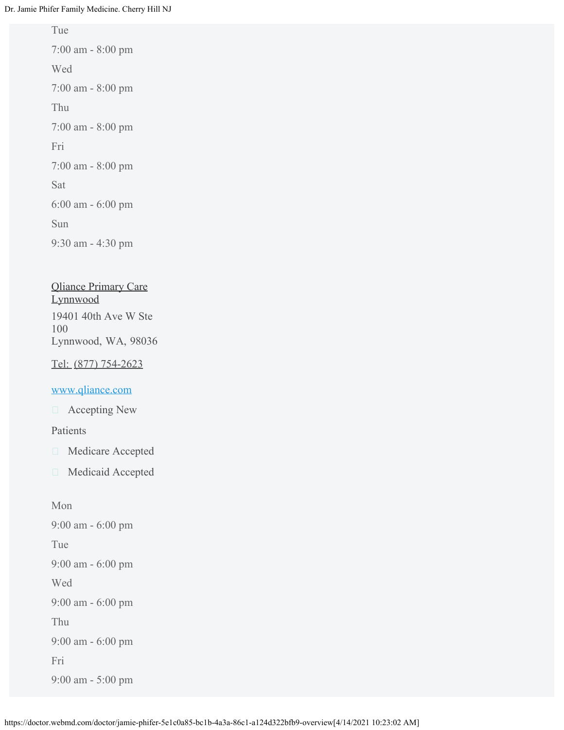Tue

7:00 am - 8:00 pm Wed 7:00 am - 8:00 pm Thu 7:00 am - 8:00 pm Fri 7:00 am - 8:00 pm Sat 6:00 am - 6:00 pm Sun 9:30 am - 4:30 pm

## [Qliance Primary Care](https://doctor.webmd.com/practice/qliance-primary-care-lynnwood-4c07434a-009d-e411-b35d-001f29e3eb44-overview) [Lynnwood](https://doctor.webmd.com/practice/qliance-primary-care-lynnwood-4c07434a-009d-e411-b35d-001f29e3eb44-overview) 19401 40th Ave W Ste 100 Lynnwood, WA, 98036

Tel: [\(877\) 754-2623](tel:+18777542623)

#### www.qliance.com

□ Accepting New

Patients

- **Medicare Accepted**
- Medicaid Accepted

Mon 9:00 am - 6:00 pm Tue 9:00 am - 6:00 pm Wed 9:00 am - 6:00 pm Thu 9:00 am - 6:00 pm Fri 9:00 am - 5:00 pm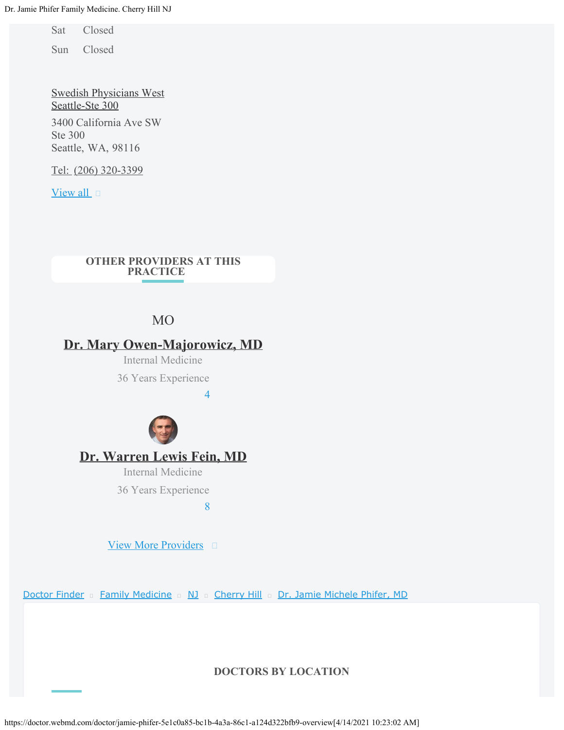Sat Closed

Sun Closed

[Swedish Physicians West](https://doctor.webmd.com/practice/swedish-physicians-west-seattle-ste-300-71abae8f-5d60-40fa-9c3d-c3e52afa7677-overview) [Seattle-Ste 300](https://doctor.webmd.com/practice/swedish-physicians-west-seattle-ste-300-71abae8f-5d60-40fa-9c3d-c3e52afa7677-overview) 3400 California Ave SW Ste 300 Seattle, WA, 98116

Tel: [\(206\) 320-3399](tel:+12063203399)

[View all](https://doctor.webmd.com/doctor/jamie-phifer-5e1c0a85-bc1b-4a3a-86c1-a124d322bfb9-appointments)  $\Box$ 

#### **OTHER PROVIDERS AT THIS PRACTICE**

## MO

## **[Dr. Mary Owen-Majorowicz, MD](https://doctor.webmd.com/doctor/mary-owen-28b3634c-dec5-11e7-9f4c-005056a225bf-overview)**

Internal Medicine

36 Years Experience

4



## **[Dr. Warren Lewis Fein, MD](https://doctor.webmd.com/doctor/warren-fein-385e4286-5cc7-4e77-81fe-81efe231dc00-overview)**

Internal Medicine

36 Years Experience

8

[View More Providers](https://doctor.webmd.com/practice/cherry-hill-womens-center-inc-c52fcdf9-113c-4ae6-a1bf-cbfda14b3e1b-physicians/alpha/all)

[Doctor Finder](https://doctor.webmd.com/) [Family Medicine](https://doctor.webmd.com/find-a-doctor/specialty/family-medicine) [NJ](https://doctor.webmd.com/find-a-doctor/specialty/family-medicine/new-jersey) [Cherry Hill](https://doctor.webmd.com/find-a-doctor/specialty/family-medicine/new-jersey/cherry-hill) [Dr. Jamie Michele Phifer, MD](#page-0-0)

#### **DOCTORS BY LOCATION**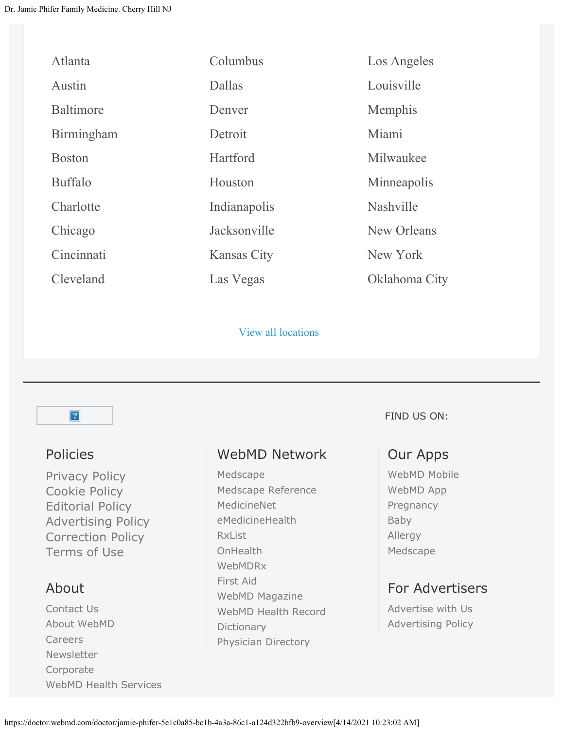| Atlanta          | Columbus           | Los Angeles   |
|------------------|--------------------|---------------|
| Austin           | Dallas             | Louisville    |
| <b>Baltimore</b> | Denver             | Memphis       |
| Birmingham       | Detroit            | Miami         |
| <b>Boston</b>    | Hartford           | Milwaukee     |
| <b>Buffalo</b>   | Houston            | Minneapolis   |
| Charlotte        | Indianapolis       | Nashville     |
| Chicago          | Jacksonville       | New Orleans   |
| Cincinnati       | <b>Kansas City</b> | New York      |
| Cleveland        | Las Vegas          | Oklahoma City |

[View all locations](https://doctor.webmd.com/find-a-doctor/specialty/general-practice) 



## Policies

[Privacy Policy](https://www.webmd.com/about-webmd-policies/about-privacy-policy) [Cookie Policy](https://www.webmd.com/about-webmd-policies/cookie-policy) [Editorial Policy](https://www.webmd.com/about-webmd-policies/about-editorial-policy) [Advertising Policy](https://www.webmd.com/about-webmd-policies/about-advertising-policy) [Correction Policy](https://www.webmd.com/about-webmd-policies/webmd-corrections-policies) [Terms of Use](https://www.webmd.com/about-webmd-policies/about-terms-and-conditions-of-use)

## About

[Contact Us](https://customercare.webmd.com/) [About WebMD](https://www.webmd.com/about-webmd-policies/default.htm) [Careers](http://careers.webmd.com/) [Newsletter](https://member.webmd.com/subscribe) [Corporate](https://www.webmd.com/corporate/default.htm) [WebMD Health Services](http://www.webmdhealthservices.com/)

# WebMD Network

[Medscape](http://www.medscape.com/) [Medscape Reference](http://reference.medscape.com/) [MedicineNet](http://www.medicinenet.com/) [eMedicineHealth](http://www.emedicinehealth.com/script/main/hp.asp) [RxList](http://www.rxlist.com/) **[OnHealth](http://www.onhealth.com/)** [WebMDRx](https://www.webmd.com/rx) [First Aid](https://www.webmd.com/first-aid/default.htm) [WebMD Magazine](https://www.webmd.com/magazine/default.htm) [WebMD Health Record](https://www.webmd.com/phr) [Dictionary](https://dictionary.webmd.com/default.htm) [Physician Directory](https://doctor.webmd.com/)

FIND US ON:

## Our Apps

[WebMD Mobile](https://www.webmd.com/mobile) [WebMD App](https://www.webmd.com/webmdapp) [Pregnancy](https://www.webmd.com/pregnancyapp) [Baby](https://www.webmd.com/webmdbabyapp) [Allergy](https://www.webmd.com/allergy-app) [Medscape](http://www.medscape.com/public/mobileapp)

# For Advertisers

[Advertise with Us](https://mediakit.webmd.com/) [Advertising Policy](https://www.webmd.com/about-webmd-policies/about-advertising-policy)